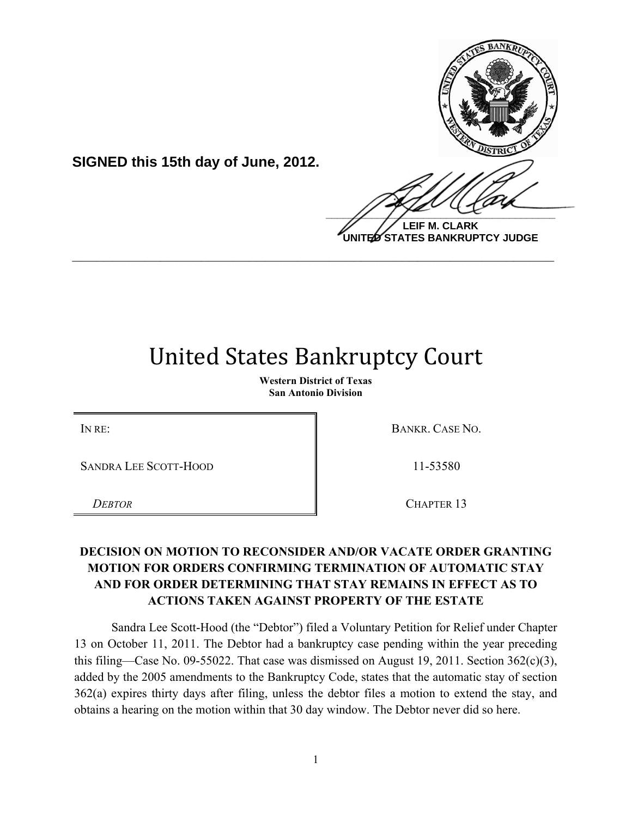

**UNITED STATES BANKRUPTCY JUDGE**

## **United States Bankruptcy Court**

**\_\_\_\_\_\_\_\_\_\_\_\_\_\_\_\_\_\_\_\_\_\_\_\_\_\_\_\_\_\_\_\_\_\_\_\_\_\_\_\_\_\_\_\_\_\_\_\_\_\_\_\_\_\_\_\_\_\_\_\_**

**Western District of Texas San Antonio Division**

SANDRA LEE SCOTT-HOOD 11-53580

**SIGNED this 15th day of June, 2012.**

IN RE: BANKR. CASE NO.

*DEBTOR* CHAPTER 13

## **DECISION ON MOTION TO RECONSIDER AND/OR VACATE ORDER GRANTING MOTION FOR ORDERS CONFIRMING TERMINATION OF AUTOMATIC STAY AND FOR ORDER DETERMINING THAT STAY REMAINS IN EFFECT AS TO ACTIONS TAKEN AGAINST PROPERTY OF THE ESTATE**

Sandra Lee Scott-Hood (the "Debtor") filed a Voluntary Petition for Relief under Chapter 13 on October 11, 2011. The Debtor had a bankruptcy case pending within the year preceding this filing—Case No. 09-55022. That case was dismissed on August 19, 2011. Section 362(c)(3), added by the 2005 amendments to the Bankruptcy Code, states that the automatic stay of section 362(a) expires thirty days after filing, unless the debtor files a motion to extend the stay, and obtains a hearing on the motion within that 30 day window. The Debtor never did so here.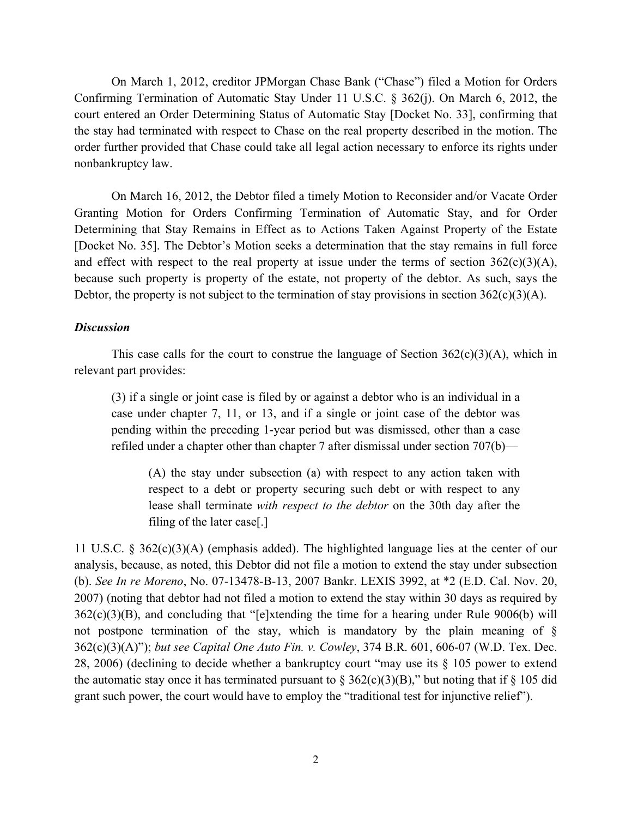On March 1, 2012, creditor JPMorgan Chase Bank ("Chase") filed a Motion for Orders Confirming Termination of Automatic Stay Under 11 U.S.C. § 362(j). On March 6, 2012, the court entered an Order Determining Status of Automatic Stay [Docket No. 33], confirming that the stay had terminated with respect to Chase on the real property described in the motion. The order further provided that Chase could take all legal action necessary to enforce its rights under nonbankruptcy law.

On March 16, 2012, the Debtor filed a timely Motion to Reconsider and/or Vacate Order Granting Motion for Orders Confirming Termination of Automatic Stay, and for Order Determining that Stay Remains in Effect as to Actions Taken Against Property of the Estate [Docket No. 35]. The Debtor's Motion seeks a determination that the stay remains in full force and effect with respect to the real property at issue under the terms of section  $362(c)(3)(A)$ , because such property is property of the estate, not property of the debtor. As such, says the Debtor, the property is not subject to the termination of stay provisions in section  $362(c)(3)(A)$ .

## *Discussion*

This case calls for the court to construe the language of Section  $362(c)(3)(A)$ , which in relevant part provides:

(3) if a single or joint case is filed by or against a debtor who is an individual in a case under chapter 7, 11, or 13, and if a single or joint case of the debtor was pending within the preceding 1-year period but was dismissed, other than a case refiled under a chapter other than chapter 7 after dismissal under section 707(b)—

(A) the stay under subsection (a) with respect to any action taken with respect to a debt or property securing such debt or with respect to any lease shall terminate *with respect to the debtor* on the 30th day after the filing of the later case[.]

11 U.S.C. § 362(c)(3)(A) (emphasis added). The highlighted language lies at the center of our analysis, because, as noted, this Debtor did not file a motion to extend the stay under subsection (b). *See In re Moreno*, No. 07-13478-B-13, 2007 Bankr. LEXIS 3992, at \*2 (E.D. Cal. Nov. 20, 2007) (noting that debtor had not filed a motion to extend the stay within 30 days as required by 362(c)(3)(B), and concluding that "[e]xtending the time for a hearing under Rule 9006(b) will not postpone termination of the stay, which is mandatory by the plain meaning of § 362(c)(3)(A)"); *but see Capital One Auto Fin. v. Cowley*, 374 B.R. 601, 606-07 (W.D. Tex. Dec. 28, 2006) (declining to decide whether a bankruptcy court "may use its § 105 power to extend the automatic stay once it has terminated pursuant to  $\S 362(c)(3)(B)$ ," but noting that if  $\S 105$  did grant such power, the court would have to employ the "traditional test for injunctive relief").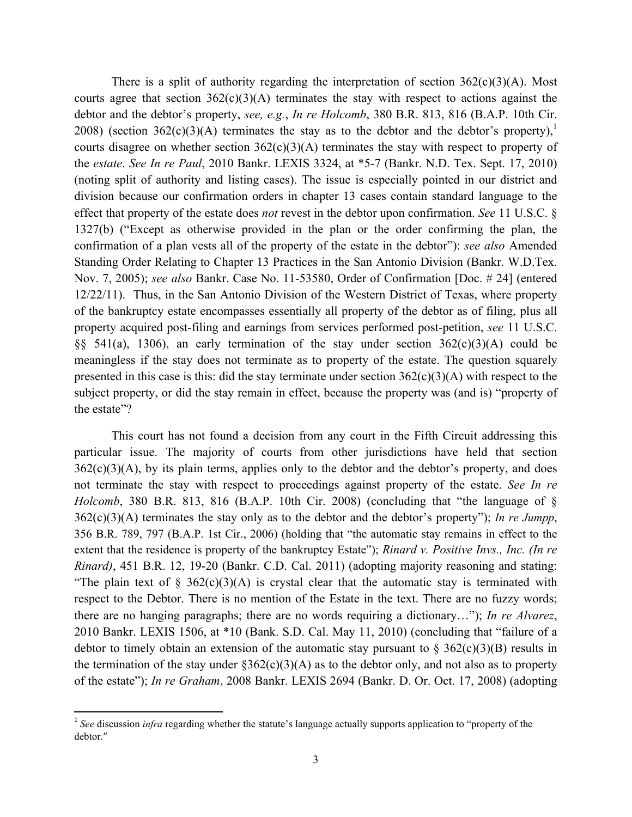There is a split of authority regarding the interpretation of section  $362(c)(3)(A)$ . Most courts agree that section  $362(c)(3)(A)$  terminates the stay with respect to actions against the debtor and the debtor's property, *see, e.g.*, *In re Holcomb*, 380 B.R. 813, 816 (B.A.P. 10th Cir. 2008) (section 362(c)(3)(A) terminates the stay as to the debtor and the debtor's property),<sup>1</sup> courts disagree on whether section 362(c)(3)(A) terminates the stay with respect to property of the *estate*. *See In re Paul*, 2010 Bankr. LEXIS 3324, at \*5-7 (Bankr. N.D. Tex. Sept. 17, 2010) (noting split of authority and listing cases). The issue is especially pointed in our district and division because our confirmation orders in chapter 13 cases contain standard language to the effect that property of the estate does *not* revest in the debtor upon confirmation. *See* 11 U.S.C. § 1327(b) ("Except as otherwise provided in the plan or the order confirming the plan, the confirmation of a plan vests all of the property of the estate in the debtor"): *see also* Amended Standing Order Relating to Chapter 13 Practices in the San Antonio Division (Bankr. W.D.Tex. Nov. 7, 2005); *see also* Bankr. Case No. 11-53580, Order of Confirmation [Doc. # 24] (entered 12/22/11). Thus, in the San Antonio Division of the Western District of Texas, where property of the bankruptcy estate encompasses essentially all property of the debtor as of filing, plus all property acquired post-filing and earnings from services performed post-petition, *see* 11 U.S.C. §§ 541(a), 1306), an early termination of the stay under section  $362(c)(3)(A)$  could be meaningless if the stay does not terminate as to property of the estate. The question squarely presented in this case is this: did the stay terminate under section  $362(c)(3)(A)$  with respect to the subject property, or did the stay remain in effect, because the property was (and is) "property of the estate"?

This court has not found a decision from any court in the Fifth Circuit addressing this particular issue. The majority of courts from other jurisdictions have held that section  $362(c)(3)(A)$ , by its plain terms, applies only to the debtor and the debtor's property, and does not terminate the stay with respect to proceedings against property of the estate. *See In re Holcomb*, 380 B.R. 813, 816 (B.A.P. 10th Cir. 2008) (concluding that "the language of § 362(c)(3)(A) terminates the stay only as to the debtor and the debtor's property"); *In re Jumpp*, 356 B.R. 789, 797 (B.A.P. 1st Cir., 2006) (holding that "the automatic stay remains in effect to the extent that the residence is property of the bankruptcy Estate"); *Rinard v. Positive Invs., Inc. (In re Rinard)*, 451 B.R. 12, 19-20 (Bankr. C.D. Cal. 2011) (adopting majority reasoning and stating: "The plain text of  $\S$  362(c)(3)(A) is crystal clear that the automatic stay is terminated with respect to the Debtor. There is no mention of the Estate in the text. There are no fuzzy words; there are no hanging paragraphs; there are no words requiring a dictionary…"); *In re Alvarez*, 2010 Bankr. LEXIS 1506, at \*10 (Bank. S.D. Cal. May 11, 2010) (concluding that "failure of a debtor to timely obtain an extension of the automatic stay pursuant to  $\S$  362(c)(3)(B) results in the termination of the stay under  $\S362(c)(3)(A)$  as to the debtor only, and not also as to property of the estate"); *In re Graham*, 2008 Bankr. LEXIS 2694 (Bankr. D. Or. Oct. 17, 2008) (adopting

!!!!!!!!!!!!!!!!!!!!!!!!!!!!!!!!!!!!!!!!!!!!!!!!!!!!!!!!!!!

<sup>&</sup>lt;sup>1</sup> See discussion *infra* regarding whether the statute's language actually supports application to "property of the debtor."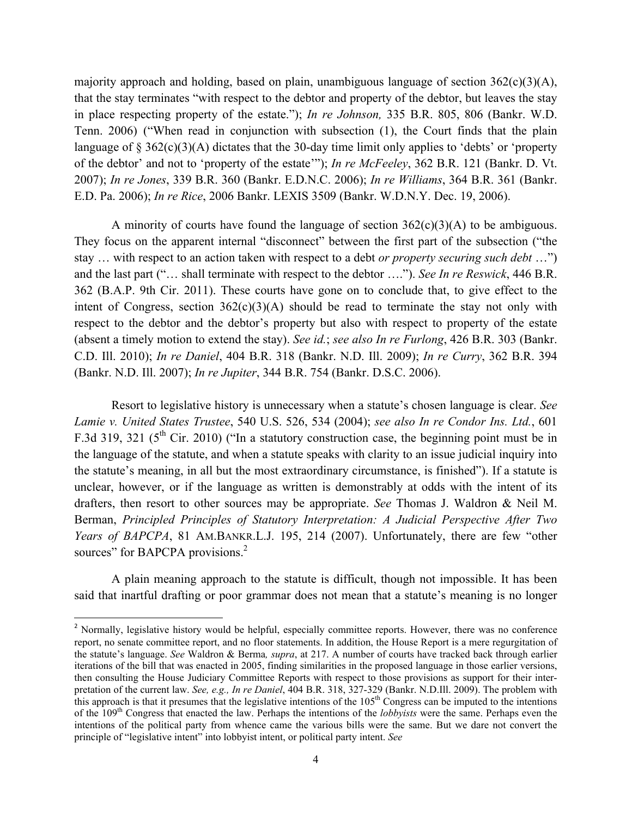majority approach and holding, based on plain, unambiguous language of section  $362(c)(3)(A)$ , that the stay terminates "with respect to the debtor and property of the debtor, but leaves the stay in place respecting property of the estate."); *In re Johnson,* 335 B.R. 805, 806 (Bankr. W.D. Tenn. 2006) ("When read in conjunction with subsection (1), the Court finds that the plain language of § 362(c)(3)(A) dictates that the 30-day time limit only applies to 'debts' or 'property of the debtor' and not to 'property of the estate'"); *In re McFeeley*, 362 B.R. 121 (Bankr. D. Vt. 2007); *In re Jones*, 339 B.R. 360 (Bankr. E.D.N.C. 2006); *In re Williams*, 364 B.R. 361 (Bankr. E.D. Pa. 2006); *In re Rice*, 2006 Bankr. LEXIS 3509 (Bankr. W.D.N.Y. Dec. 19, 2006).

A minority of courts have found the language of section  $362(c)(3)(A)$  to be ambiguous. They focus on the apparent internal "disconnect" between the first part of the subsection ("the stay … with respect to an action taken with respect to a debt *or property securing such debt* …") and the last part ("… shall terminate with respect to the debtor …."). *See In re Reswick*, 446 B.R. 362 (B.A.P. 9th Cir. 2011). These courts have gone on to conclude that, to give effect to the intent of Congress, section  $362(c)(3)(A)$  should be read to terminate the stay not only with respect to the debtor and the debtor's property but also with respect to property of the estate (absent a timely motion to extend the stay). *See id.*; *see also In re Furlong*, 426 B.R. 303 (Bankr. C.D. Ill. 2010); *In re Daniel*, 404 B.R. 318 (Bankr. N.D. Ill. 2009); *In re Curry*, 362 B.R. 394 (Bankr. N.D. Ill. 2007); *In re Jupiter*, 344 B.R. 754 (Bankr. D.S.C. 2006).

Resort to legislative history is unnecessary when a statute's chosen language is clear. *See Lamie v. United States Trustee*, 540 U.S. 526, 534 (2004); *see also In re Condor Ins. Ltd.*, 601 F.3d 319, 321 ( $5<sup>th</sup>$  Cir. 2010) ("In a statutory construction case, the beginning point must be in the language of the statute, and when a statute speaks with clarity to an issue judicial inquiry into the statute's meaning, in all but the most extraordinary circumstance, is finished"). If a statute is unclear, however, or if the language as written is demonstrably at odds with the intent of its drafters, then resort to other sources may be appropriate. *See* Thomas J. Waldron & Neil M. Berman, *Principled Principles of Statutory Interpretation: A Judicial Perspective After Two Years of BAPCPA*, 81 AM.BANKR.L.J. 195, 214 (2007). Unfortunately, there are few "other sources" for BAPCPA provisions.<sup>2</sup>

A plain meaning approach to the statute is difficult, though not impossible. It has been said that inartful drafting or poor grammar does not mean that a statute's meaning is no longer

!!!!!!!!!!!!!!!!!!!!!!!!!!!!!!!!!!!!!!!!!!!!!!!!!!!!!!!!!!!

<sup>&</sup>lt;sup>2</sup> Normally, legislative history would be helpful, especially committee reports. However, there was no conference report, no senate committee report, and no floor statements. In addition, the House Report is a mere regurgitation of the statute's language. *See* Waldron & Berma*, supra*, at 217. A number of courts have tracked back through earlier iterations of the bill that was enacted in 2005, finding similarities in the proposed language in those earlier versions, then consulting the House Judiciary Committee Reports with respect to those provisions as support for their interpretation of the current law. *See, e.g., In re Daniel*, 404 B.R. 318, 327-329 (Bankr. N.D.Ill. 2009). The problem with this approach is that it presumes that the legislative intentions of the  $105<sup>th</sup>$  Congress can be imputed to the intentions of the 109th Congress that enacted the law. Perhaps the intentions of the *lobbyists* were the same. Perhaps even the intentions of the political party from whence came the various bills were the same. But we dare not convert the principle of "legislative intent" into lobbyist intent, or political party intent. *See*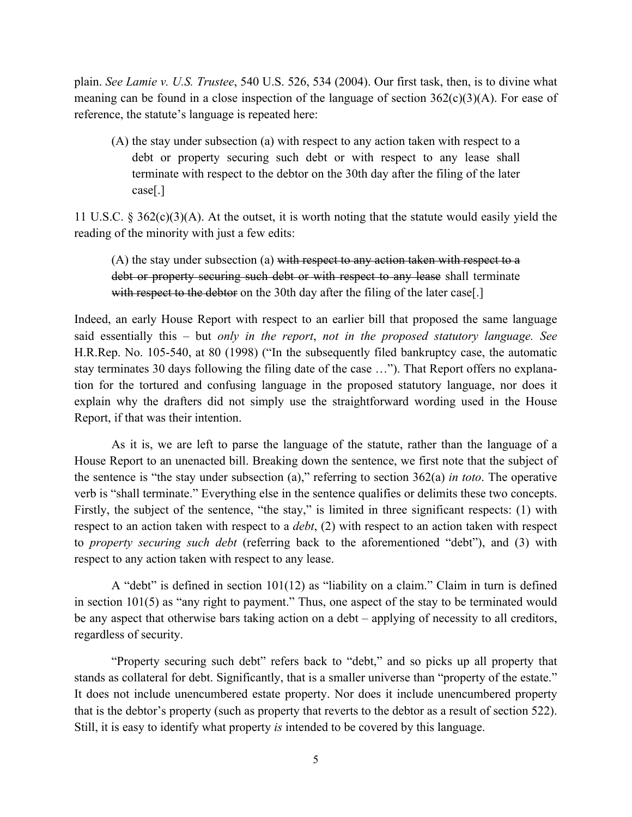plain. *See Lamie v. U.S. Trustee*, 540 U.S. 526, 534 (2004). Our first task, then, is to divine what meaning can be found in a close inspection of the language of section  $362(c)(3)(A)$ . For ease of reference, the statute's language is repeated here:

(A) the stay under subsection (a) with respect to any action taken with respect to a debt or property securing such debt or with respect to any lease shall terminate with respect to the debtor on the 30th day after the filing of the later case[.]

11 U.S.C. § 362(c)(3)(A). At the outset, it is worth noting that the statute would easily yield the reading of the minority with just a few edits:

(A) the stay under subsection (a) with respect to any action taken with respect to a debt or property securing such debt or with respect to any lease shall terminate with respect to the debtor on the 30th day after the filing of the later case[.]

Indeed, an early House Report with respect to an earlier bill that proposed the same language said essentially this – but *only in the report*, *not in the proposed statutory language. See*  H.R.Rep. No. 105-540, at 80 (1998) ("In the subsequently filed bankruptcy case, the automatic stay terminates 30 days following the filing date of the case …"). That Report offers no explanation for the tortured and confusing language in the proposed statutory language, nor does it explain why the drafters did not simply use the straightforward wording used in the House Report, if that was their intention.

As it is, we are left to parse the language of the statute, rather than the language of a House Report to an unenacted bill. Breaking down the sentence, we first note that the subject of the sentence is "the stay under subsection (a)," referring to section 362(a) *in toto*. The operative verb is "shall terminate." Everything else in the sentence qualifies or delimits these two concepts. Firstly, the subject of the sentence, "the stay," is limited in three significant respects: (1) with respect to an action taken with respect to a *debt*, (2) with respect to an action taken with respect to *property securing such debt* (referring back to the aforementioned "debt"), and (3) with respect to any action taken with respect to any lease.

A "debt" is defined in section 101(12) as "liability on a claim." Claim in turn is defined in section 101(5) as "any right to payment." Thus, one aspect of the stay to be terminated would be any aspect that otherwise bars taking action on a debt – applying of necessity to all creditors, regardless of security.

"Property securing such debt" refers back to "debt," and so picks up all property that stands as collateral for debt. Significantly, that is a smaller universe than "property of the estate." It does not include unencumbered estate property. Nor does it include unencumbered property that is the debtor's property (such as property that reverts to the debtor as a result of section 522). Still, it is easy to identify what property *is* intended to be covered by this language.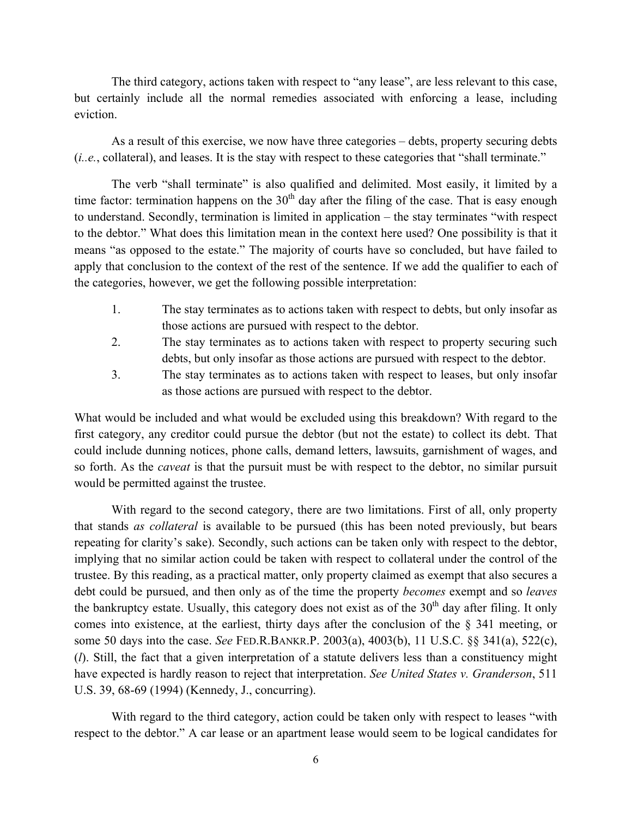The third category, actions taken with respect to "any lease", are less relevant to this case, but certainly include all the normal remedies associated with enforcing a lease, including eviction.

As a result of this exercise, we now have three categories – debts, property securing debts (*i..e.*, collateral), and leases. It is the stay with respect to these categories that "shall terminate."

The verb "shall terminate" is also qualified and delimited. Most easily, it limited by a time factor: termination happens on the  $30<sup>th</sup>$  day after the filing of the case. That is easy enough to understand. Secondly, termination is limited in application – the stay terminates "with respect to the debtor." What does this limitation mean in the context here used? One possibility is that it means "as opposed to the estate." The majority of courts have so concluded, but have failed to apply that conclusion to the context of the rest of the sentence. If we add the qualifier to each of the categories, however, we get the following possible interpretation:

- 1. The stay terminates as to actions taken with respect to debts, but only insofar as those actions are pursued with respect to the debtor.
- 2. The stay terminates as to actions taken with respect to property securing such debts, but only insofar as those actions are pursued with respect to the debtor.
- 3. The stay terminates as to actions taken with respect to leases, but only insofar as those actions are pursued with respect to the debtor.

What would be included and what would be excluded using this breakdown? With regard to the first category, any creditor could pursue the debtor (but not the estate) to collect its debt. That could include dunning notices, phone calls, demand letters, lawsuits, garnishment of wages, and so forth. As the *caveat* is that the pursuit must be with respect to the debtor, no similar pursuit would be permitted against the trustee.

With regard to the second category, there are two limitations. First of all, only property that stands *as collateral* is available to be pursued (this has been noted previously, but bears repeating for clarity's sake). Secondly, such actions can be taken only with respect to the debtor, implying that no similar action could be taken with respect to collateral under the control of the trustee. By this reading, as a practical matter, only property claimed as exempt that also secures a debt could be pursued, and then only as of the time the property *becomes* exempt and so *leaves*  the bankruptcy estate. Usually, this category does not exist as of the  $30<sup>th</sup>$  day after filing. It only comes into existence, at the earliest, thirty days after the conclusion of the § 341 meeting, or some 50 days into the case. *See* FED.R.BANKR.P. 2003(a), 4003(b), 11 U.S.C. §§ 341(a), 522(c), (*l*). Still, the fact that a given interpretation of a statute delivers less than a constituency might have expected is hardly reason to reject that interpretation. *See United States v. Granderson*, 511 U.S. 39, 68-69 (1994) (Kennedy, J., concurring).

With regard to the third category, action could be taken only with respect to leases "with respect to the debtor." A car lease or an apartment lease would seem to be logical candidates for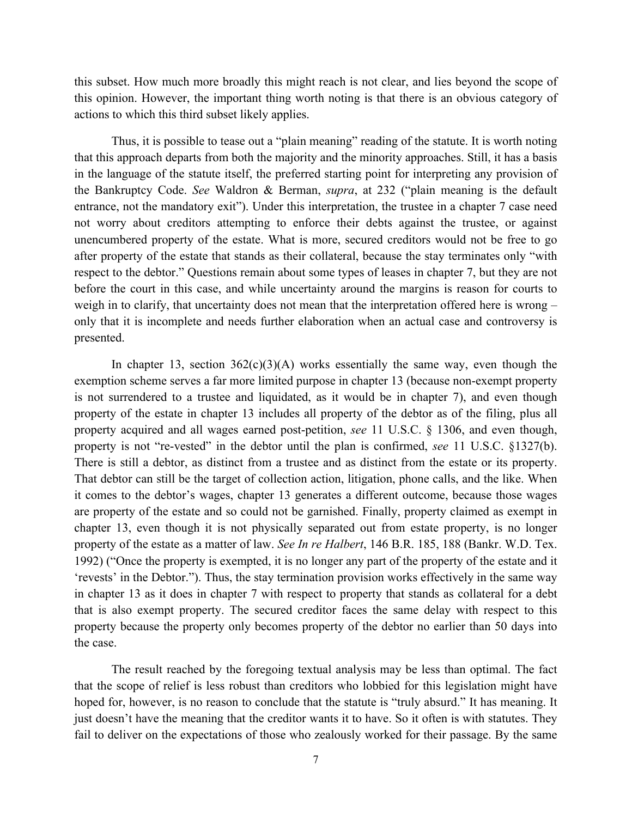this subset. How much more broadly this might reach is not clear, and lies beyond the scope of this opinion. However, the important thing worth noting is that there is an obvious category of actions to which this third subset likely applies.

Thus, it is possible to tease out a "plain meaning" reading of the statute. It is worth noting that this approach departs from both the majority and the minority approaches. Still, it has a basis in the language of the statute itself, the preferred starting point for interpreting any provision of the Bankruptcy Code. *See* Waldron & Berman, *supra*, at 232 ("plain meaning is the default entrance, not the mandatory exit"). Under this interpretation, the trustee in a chapter 7 case need not worry about creditors attempting to enforce their debts against the trustee, or against unencumbered property of the estate. What is more, secured creditors would not be free to go after property of the estate that stands as their collateral, because the stay terminates only "with respect to the debtor." Questions remain about some types of leases in chapter 7, but they are not before the court in this case, and while uncertainty around the margins is reason for courts to weigh in to clarify, that uncertainty does not mean that the interpretation offered here is wrong – only that it is incomplete and needs further elaboration when an actual case and controversy is presented.

In chapter 13, section  $362(c)(3)(A)$  works essentially the same way, even though the exemption scheme serves a far more limited purpose in chapter 13 (because non-exempt property is not surrendered to a trustee and liquidated, as it would be in chapter 7), and even though property of the estate in chapter 13 includes all property of the debtor as of the filing, plus all property acquired and all wages earned post-petition, *see* 11 U.S.C. § 1306, and even though, property is not "re-vested" in the debtor until the plan is confirmed, *see* 11 U.S.C. §1327(b). There is still a debtor, as distinct from a trustee and as distinct from the estate or its property. That debtor can still be the target of collection action, litigation, phone calls, and the like. When it comes to the debtor's wages, chapter 13 generates a different outcome, because those wages are property of the estate and so could not be garnished. Finally, property claimed as exempt in chapter 13, even though it is not physically separated out from estate property, is no longer property of the estate as a matter of law. *See In re Halbert*, 146 B.R. 185, 188 (Bankr. W.D. Tex. 1992) ("Once the property is exempted, it is no longer any part of the property of the estate and it 'revests' in the Debtor."). Thus, the stay termination provision works effectively in the same way in chapter 13 as it does in chapter 7 with respect to property that stands as collateral for a debt that is also exempt property. The secured creditor faces the same delay with respect to this property because the property only becomes property of the debtor no earlier than 50 days into the case.

The result reached by the foregoing textual analysis may be less than optimal. The fact that the scope of relief is less robust than creditors who lobbied for this legislation might have hoped for, however, is no reason to conclude that the statute is "truly absurd." It has meaning. It just doesn't have the meaning that the creditor wants it to have. So it often is with statutes. They fail to deliver on the expectations of those who zealously worked for their passage. By the same